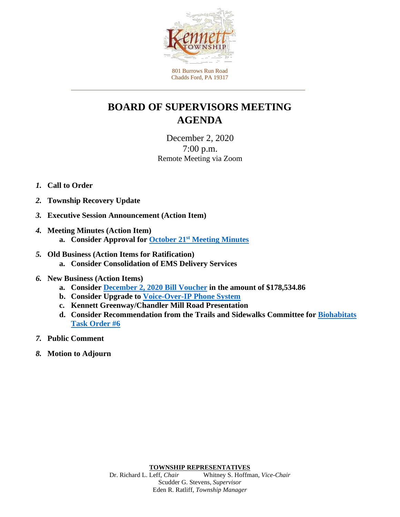

801 Burrows Run Road Chadds Ford, PA 19317

## **BOARD OF SUPERVISORS MEETING AGENDA**

December 2, 2020 7:00 p.m. Remote Meeting via Zoom

## *1.* **Call to Order**

- *2.* **Township Recovery Update**
- *3.* **Executive Session Announcement (Action Item)**
- *4.* **Meeting Minutes (Action Item) a. Consider Approval for October 21st [Meeting Minutes](https://www.kennett.pa.us/DocumentCenter/View/4418/Agenda-Item-4_a_102120-BOS-Minutes)**
- *5.* **Old Business (Action Items for Ratification)**
	- **a. Consider Consolidation of EMS Delivery Services**
- *6.* **New Business (Action Items)** 
	- **a. Consider December 2, [2020 Bill Voucher](https://www.kennett.pa.us/DocumentCenter/View/4416/Agenda-Item-6_a_Bill-Voucher-20201202) in the amount of \$178,534.86**
	- **b. Consider Upgrade to [Voice-Over-IP Phone System](https://www.kennett.pa.us/DocumentCenter/View/4419/Agenda-Item-6_b_Voice-Over-IP-Phone-System-Memo)**
	- **c. Kennett Greenway/Chandler Mill Road Presentation**
	- **d. [Consider Recommendation from the Trails and Sidewalks Committee](https://www.kennett.pa.us/DocumentCenter/View/4421/Agenda-Item-6_d_TO6-Updated-1222020_rev2) for Biohabitats Task Order #6**
- *7.* **Public Comment**
- *8.* **Motion to Adjourn**

**TOWNSHIP REPRESENTATIVES**<br>Dr. Richard L. Leff, *Chair* Whitney S. Hoffm Whitney S. Hoffman, *Vice-Chair* Scudder G. Stevens, *Supervisor* Eden R. Ratliff, *Township Manager*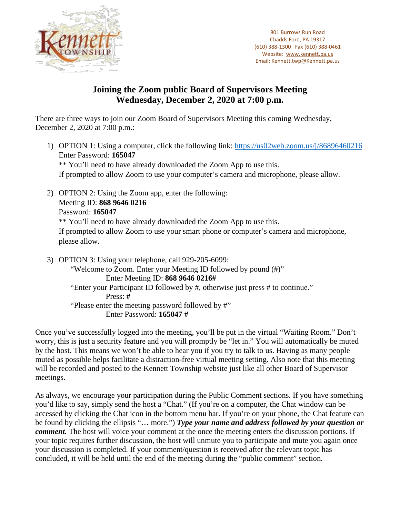

801 Burrows Run Road Chadds Ford, PA 19317 (610) 388-1300 Fax (610) 388-0461 Website: [www.kennett.pa.us](http://www.kennett.pa.us/) Email: Kennett.twp@Kennett.pa.us

## **Joining the Zoom public Board of Supervisors Meeting Wednesday, December 2, 2020 at 7:00 p.m.**

There are three ways to join our Zoom Board of Supervisors Meeting this coming Wednesday, December 2, 2020 at 7:00 p.m.:

- 1) OPTION 1: Using a computer, click the following link: <https://us02web.zoom.us/j/86896460216> Enter Password: **165047** \*\* You'll need to have already downloaded the Zoom App to use this. If prompted to allow Zoom to use your computer's camera and microphone, please allow.
- 2) OPTION 2: Using the Zoom app, enter the following: Meeting ID: **868 9646 0216** Password: **165047** \*\* You'll need to have already downloaded the Zoom App to use this. If prompted to allow Zoom to use your smart phone or computer's camera and microphone, please allow.

3) OPTION 3: Using your telephone, call 929-205-6099: "Welcome to Zoom. Enter your Meeting ID followed by pound (#)" Enter Meeting ID: **868 9646 0216#** "Enter your Participant ID followed by #, otherwise just press # to continue." Press: **#** "Please enter the meeting password followed by #" Enter Password: **165047 #**

Once you've successfully logged into the meeting, you'll be put in the virtual "Waiting Room." Don't worry, this is just a security feature and you will promptly be "let in." You will automatically be muted by the host. This means we won't be able to hear you if you try to talk to us. Having as many people muted as possible helps facilitate a distraction-free virtual meeting setting. Also note that this meeting will be recorded and posted to the Kennett Township website just like all other Board of Supervisor meetings.

As always, we encourage your participation during the Public Comment sections. If you have something you'd like to say, simply send the host a "Chat." (If you're on a computer, the Chat window can be accessed by clicking the Chat icon in the bottom menu bar. If you're on your phone, the Chat feature can be found by clicking the ellipsis "… more.") *Type your name and address followed by your question or comment*. The host will voice your comment at the once the meeting enters the discussion portions. If your topic requires further discussion, the host will unmute you to participate and mute you again once your discussion is completed. If your comment/question is received after the relevant topic has concluded, it will be held until the end of the meeting during the "public comment" section.